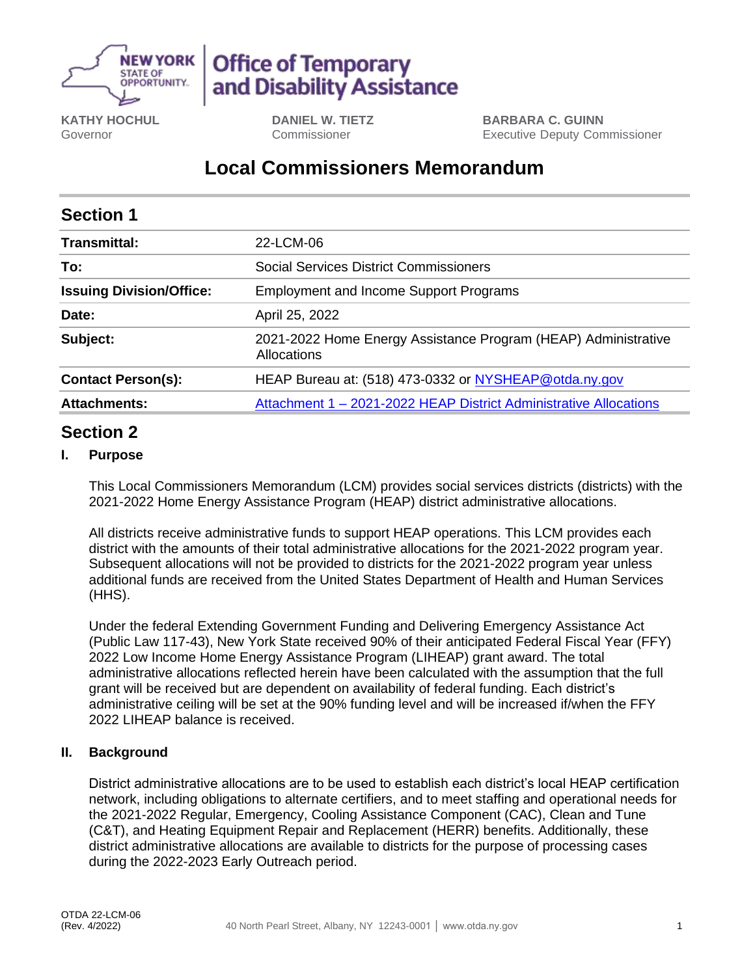

# **Office of Temporary** and Disability Assistance

**KATHY HOCHUL** Governor

**DANIEL W. TIETZ** Commissioner

**BARBARA C. GUINN** Executive Deputy Commissioner

## **Local Commissioners Memorandum**

| <b>Section 1</b>                |                                                                               |
|---------------------------------|-------------------------------------------------------------------------------|
| Transmittal:                    | 22-LCM-06                                                                     |
| To:                             | Social Services District Commissioners                                        |
| <b>Issuing Division/Office:</b> | <b>Employment and Income Support Programs</b>                                 |
| Date:                           | April 25, 2022                                                                |
| Subject:                        | 2021-2022 Home Energy Assistance Program (HEAP) Administrative<br>Allocations |
| <b>Contact Person(s):</b>       | HEAP Bureau at: (518) 473-0332 or NYSHEAP@otda.ny.gov                         |
| <b>Attachments:</b>             | Attachment 1 - 2021-2022 HEAP District Administrative Allocations             |

### **Section 2**

#### **I. Purpose**

This Local Commissioners Memorandum (LCM) provides social services districts (districts) with the 2021-2022 Home Energy Assistance Program (HEAP) district administrative allocations.

All districts receive administrative funds to support HEAP operations. This LCM provides each district with the amounts of their total administrative allocations for the 2021-2022 program year. Subsequent allocations will not be provided to districts for the 2021-2022 program year unless additional funds are received from the United States Department of Health and Human Services (HHS).

Under the federal Extending Government Funding and Delivering Emergency Assistance Act (Public Law 117-43), New York State received 90% of their anticipated Federal Fiscal Year (FFY) 2022 Low Income Home Energy Assistance Program (LIHEAP) grant award. The total administrative allocations reflected herein have been calculated with the assumption that the full grant will be received but are dependent on availability of federal funding. Each district's administrative ceiling will be set at the 90% funding level and will be increased if/when the FFY 2022 LIHEAP balance is received.

#### **II. Background**

District administrative allocations are to be used to establish each district's local HEAP certification network, including obligations to alternate certifiers, and to meet staffing and operational needs for the 2021-2022 Regular, Emergency, Cooling Assistance Component (CAC), Clean and Tune (C&T), and Heating Equipment Repair and Replacement (HERR) benefits. Additionally, these district administrative allocations are available to districts for the purpose of processing cases during the 2022-2023 Early Outreach period.